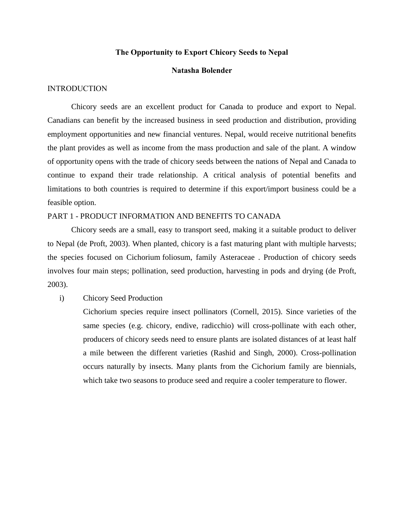## **The Opportunity to Export Chicory Seeds to Nepal**

# **Natasha Bolender**

## INTRODUCTION

Chicory seeds are an excellent product for Canada to produce and export to Nepal. Canadians can benefit by the increased business in seed production and distribution, providing employment opportunities and new financial ventures. Nepal, would receive nutritional benefits the plant provides as well as income from the mass production and sale of the plant. A window of opportunity opens with the trade of chicory seeds between the nations of Nepal and Canada to continue to expand their trade relationship. A critical analysis of potential benefits and limitations to both countries is required to determine if this export/import business could be a feasible option.

#### PART 1 - PRODUCT INFORMATION AND BENEFITS TO CANADA

Chicory seeds are a small, easy to transport seed, making it a suitable product to deliver to Nepal (de Proft, 2003). When planted, chicory is a fast maturing plant with multiple harvests; the species focused on Cichorium foliosum, family Asteraceae . Production of chicory seeds involves four main steps; pollination, seed production, harvesting in pods and drying (de Proft, 2003).

## i) Chicory Seed Production

Cichorium species require insect pollinators (Cornell, 2015). Since varieties of the same species (e.g. chicory, endive, radicchio) will cross-pollinate with each other, producers of chicory seeds need to ensure plants are isolated distances of at least half a mile between the different varieties (Rashid and Singh, 2000). Cross-pollination occurs naturally by insects. Many plants from the Cichorium family are biennials, which take two seasons to produce seed and require a cooler temperature to flower.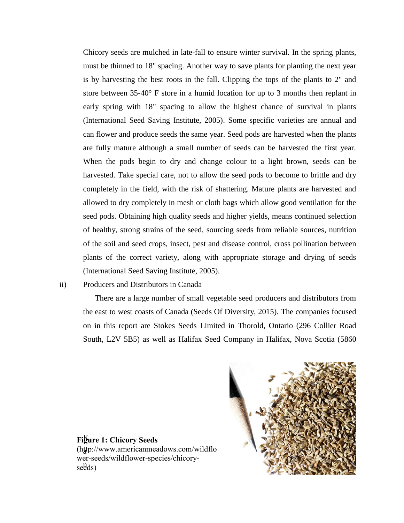Chicory seeds are mulched in late-fall to ensure winter survival. In the spring plants, must be thinned to 18" spacing. Another way to save plants for planting the next year is by harvesting the best roots in the fall. Clipping the tops of the plants to 2" and store between 35-40° F store in a humid location for up to 3 months then replant in early spring with 18" spacing to allow the highest chance of survival in plants (International Seed Saving Institute, 2005). Some specific varieties are annual and can flower and produce seeds the same year. Seed pods are harvested when the plants are fully mature although a small number of seeds can be harvested the first year. When the pods begin to dry and change colour to a light brown, seeds can be harvested. Take special care, not to allow the seed pods to become to brittle and dry completely in the field, with the risk of shattering. Mature plants are harvested and allowed to dry completely in mesh or cloth bags which allow good ventilation for the seed pods. Obtaining high quality seeds and higher yields, means continued selection of healthy, strong strains of the seed, sourcing seeds from reliable sources, nutrition of the soil and seed crops, insect, pest and disease control, cross pollination between plants of the correct variety, along with appropriate storage and drying of seeds (International Seed Saving Institute, 2005).

# ii) Producers and Distributors in Canada

There are a large number of small vegetable seed producers and distributors from the east to west coasts of Canada (Seeds Of Diversity, 2015). The companies focused on in this report are Stokes Seeds Limited in Thorold, Ontario (296 Collier Road South, L2V 5B5) as well as Halifax Seed Company in Halifax, Nova Scotia (5860



K **Figure 1: Chicory Seeds** a (http://www.americanmeadows.com/wildflo seeds) wer-seeds/wildflower-species/chicory-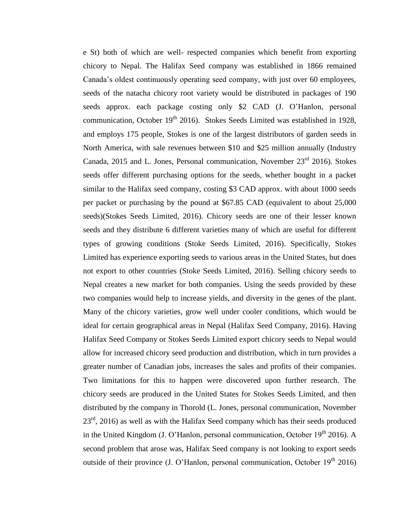e St) both of which are well- respected companies which benefit from exporting chicory to Nepal. The Halifax Seed company was established in 1866 remained Canada's oldest continuously operating seed company, with just over 60 employees, seeds of the natacha chicory root variety would be distributed in packages of 190 seeds approx. each package costing only \$2 CAD (J. O'Hanlon, personal communication, October  $19<sup>th</sup>$  2016). Stokes Seeds Limited was established in 1928, and employs 175 people, Stokes is one of the largest distributors of garden seeds in North America, with sale revenues between \$10 and \$25 million annually (Industry Canada, 2015 and L. Jones, Personal communication, November  $23<sup>rd</sup>$  2016). Stokes seeds offer different purchasing options for the seeds, whether bought in a packet similar to the Halifax seed company, costing \$3 CAD approx. with about 1000 seeds per packet or purchasing by the pound at \$67.85 CAD (equivalent to about 25,000 seeds)(Stokes Seeds Limited, 2016). Chicory seeds are one of their lesser known seeds and they distribute 6 different varieties many of which are useful for different types of growing conditions (Stoke Seeds Limited, 2016). Specifically, Stokes Limited has experience exporting seeds to various areas in the United States, but does not export to other countries (Stoke Seeds Limited, 2016). Selling chicory seeds to Nepal creates a new market for both companies. Using the seeds provided by these two companies would help to increase yields, and diversity in the genes of the plant. Many of the chicory varieties, grow well under cooler conditions, which would be ideal for certain geographical areas in Nepal (Halifax Seed Company, 2016). Having Halifax Seed Company or Stokes Seeds Limited export chicory seeds to Nepal would allow for increased chicory seed production and distribution, which in turn provides a greater number of Canadian jobs, increases the sales and profits of their companies. Two limitations for this to happen were discovered upon further research. The chicory seeds are produced in the United States for Stokes Seeds Limited, and then distributed by the company in Thorold (L. Jones, personal communication, November 23<sup>rd</sup>, 2016) as well as with the Halifax Seed company which has their seeds produced in the United Kingdom (J. O'Hanlon, personal communication, October  $19<sup>th</sup>$  2016). A second problem that arose was, Halifax Seed company is not looking to export seeds outside of their province  $(J. O'Hanlon,$  personal communication, October  $19<sup>th</sup> 2016$ )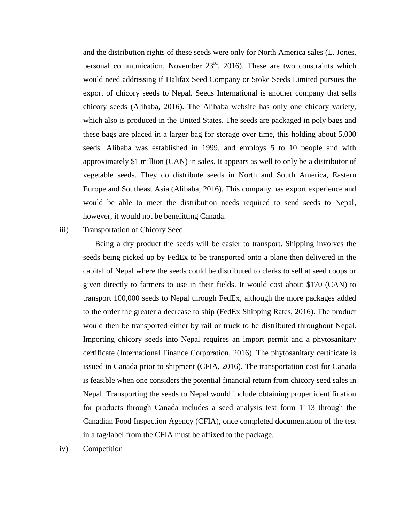and the distribution rights of these seeds were only for North America sales (L. Jones, personal communication, November  $23<sup>rd</sup>$ , 2016). These are two constraints which would need addressing if Halifax Seed Company or Stoke Seeds Limited pursues the export of chicory seeds to Nepal. Seeds International is another company that sells chicory seeds (Alibaba, 2016). The Alibaba website has only one chicory variety, which also is produced in the United States. The seeds are packaged in poly bags and these bags are placed in a larger bag for storage over time, this holding about 5,000 seeds. Alibaba was established in 1999, and employs 5 to 10 people and with approximately \$1 million (CAN) in sales. It appears as well to only be a distributor of vegetable seeds. They do distribute seeds in North and South America, Eastern Europe and Southeast Asia (Alibaba, 2016). This company has export experience and would be able to meet the distribution needs required to send seeds to Nepal, however, it would not be benefitting Canada.

# iii) Transportation of Chicory Seed

Being a dry product the seeds will be easier to transport. Shipping involves the seeds being picked up by FedEx to be transported onto a plane then delivered in the capital of Nepal where the seeds could be distributed to clerks to sell at seed coops or given directly to farmers to use in their fields. It would cost about \$170 (CAN) to transport 100,000 seeds to Nepal through FedEx, although the more packages added to the order the greater a decrease to ship (FedEx Shipping Rates, 2016). The product would then be transported either by rail or truck to be distributed throughout Nepal. Importing chicory seeds into Nepal requires an import permit and a phytosanitary certificate (International Finance Corporation, 2016). The phytosanitary certificate is issued in Canada prior to shipment (CFIA, 2016). The transportation cost for Canada is feasible when one considers the potential financial return from chicory seed sales in Nepal. Transporting the seeds to Nepal would include obtaining proper identification for products through Canada includes a seed analysis test form 1113 through the Canadian Food Inspection Agency (CFIA), once completed documentation of the test in a tag/label from the CFIA must be affixed to the package.

iv) Competition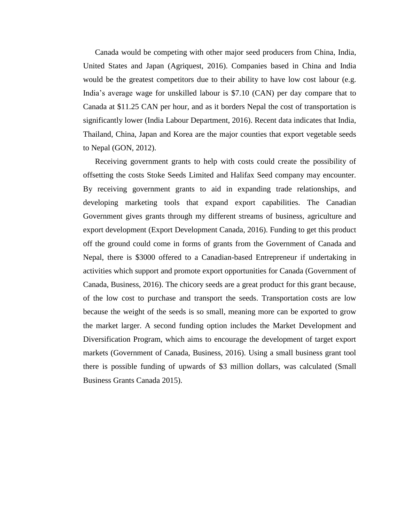Canada would be competing with other major seed producers from China, India, United States and Japan (Agriquest, 2016). Companies based in China and India would be the greatest competitors due to their ability to have low cost labour (e.g. India's average wage for unskilled labour is \$7.10 (CAN) per day compare that to Canada at \$11.25 CAN per hour, and as it borders Nepal the cost of transportation is significantly lower (India Labour Department, 2016). Recent data indicates that India, Thailand, China, Japan and Korea are the major counties that export vegetable seeds to Nepal (GON, 2012).

Receiving government grants to help with costs could create the possibility of offsetting the costs Stoke Seeds Limited and Halifax Seed company may encounter. By receiving government grants to aid in expanding trade relationships, and developing marketing tools that expand export capabilities. The Canadian Government gives grants through my different streams of business, agriculture and export development (Export Development Canada, 2016). Funding to get this product off the ground could come in forms of grants from the Government of Canada and Nepal, there is \$3000 offered to a Canadian-based Entrepreneur if undertaking in activities which support and promote export opportunities for Canada (Government of Canada, Business, 2016). The chicory seeds are a great product for this grant because, of the low cost to purchase and transport the seeds. Transportation costs are low because the weight of the seeds is so small, meaning more can be exported to grow the market larger. A second funding option includes the Market Development and Diversification Program, which aims to encourage the development of target export markets (Government of Canada, Business, 2016). Using a small business grant tool there is possible funding of upwards of \$3 million dollars, was calculated (Small Business Grants Canada 2015).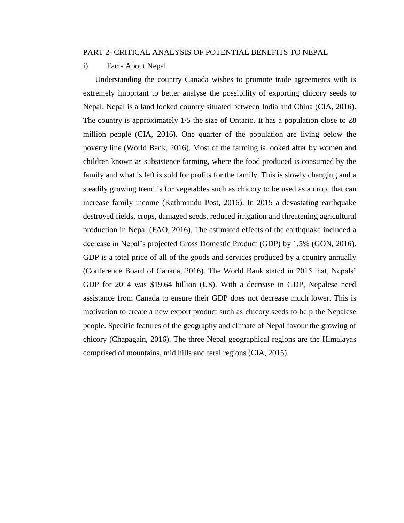#### PART 2- CRITICAL ANALYSIS OF POTENTIAL BENEFITS TO NEPAL

i) Facts About Nepal

Understanding the country Canada wishes to promote trade agreements with is extremely important to better analyse the possibility of exporting chicory seeds to Nepal. Nepal is a land locked country situated between India and China (CIA, 2016). The country is approximately 1/5 the size of Ontario. It has a population close to 28 million people (CIA, 2016). One quarter of the population are living below the poverty line (World Bank, 2016). Most of the farming is looked after by women and children known as subsistence farming, where the food produced is consumed by the family and what is left is sold for profits for the family. This is slowly changing and a steadily growing trend is for vegetables such as chicory to be used as a crop, that can increase family income (Kathmandu Post, 2016). In 2015 a devastating earthquake destroyed fields, crops, damaged seeds, reduced irrigation and threatening agricultural production in Nepal (FAO, 2016). The estimated effects of the earthquake included a decrease in Nepal's projected Gross Domestic Product (GDP) by 1.5% (GON, 2016). GDP is a total price of all of the goods and services produced by a country annually (Conference Board of Canada, 2016). The World Bank stated in 2015 that, Nepals' GDP for 2014 was \$19.64 billion (US). With a decrease in GDP, Nepalese need assistance from Canada to ensure their GDP does not decrease much lower. This is motivation to create a new export product such as chicory seeds to help the Nepalese people. Specific features of the geography and climate of Nepal favour the growing of chicory (Chapagain, 2016). The three Nepal geographical regions are the Himalayas comprised of mountains, mid hills and terai regions (CIA, 2015).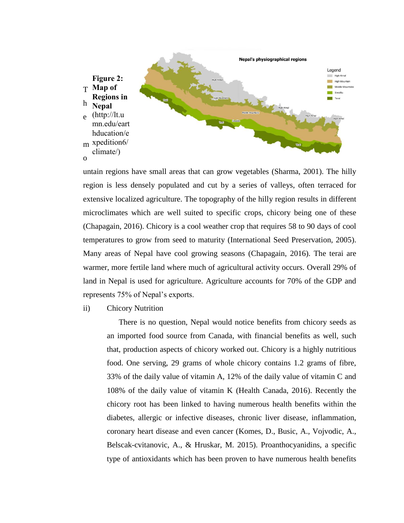

untain regions have small areas that can grow vegetables (Sharma, 2001). The hilly region is less densely populated and cut by a series of valleys, often terraced for extensive localized agriculture. The topography of the hilly region results in different microclimates which are well suited to specific crops, chicory being one of these (Chapagain, 2016). Chicory is a cool weather crop that requires 58 to 90 days of cool temperatures to grow from seed to maturity (International Seed Preservation, 2005). Many areas of Nepal have cool growing seasons (Chapagain, 2016). The terai are warmer, more fertile land where much of agricultural activity occurs. Overall 29% of land in Nepal is used for agriculture. Agriculture accounts for 70% of the GDP and represents 75% of Nepal's exports.

ii) Chicory Nutrition

There is no question, Nepal would notice benefits from chicory seeds as an imported food source from Canada, with financial benefits as well, such that, production aspects of chicory worked out. Chicory is a highly nutritious food. One serving, 29 grams of whole chicory contains 1.2 grams of fibre, 33% of the daily value of vitamin A, 12% of the daily value of vitamin C and 108% of the daily value of vitamin K (Health Canada, 2016). Recently the chicory root has been linked to having numerous health benefits within the diabetes, allergic or infective diseases, chronic liver disease, inflammation, coronary heart disease and even cancer (Komes, D., Busic, A., Vojvodic, A., Belscak-cvitanovic, A., & Hruskar, M. 2015). Proanthocyanidins, a specific type of antioxidants which has been proven to have numerous health benefits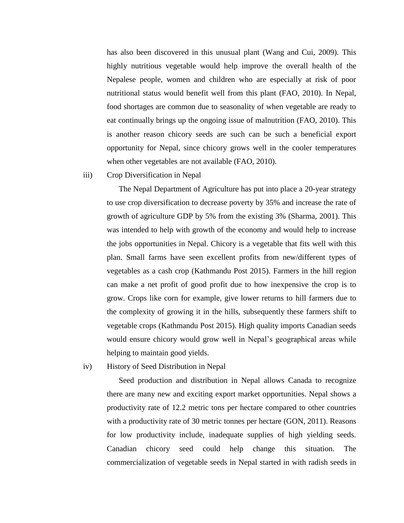has also been discovered in this unusual plant (Wang and Cui, 2009). This highly nutritious vegetable would help improve the overall health of the Nepalese people, women and children who are especially at risk of poor nutritional status would benefit well from this plant (FAO, 2010). In Nepal, food shortages are common due to seasonality of when vegetable are ready to eat continually brings up the ongoing issue of malnutrition (FAO, 2010). This is another reason chicory seeds are such can be such a beneficial export opportunity for Nepal, since chicory grows well in the cooler temperatures when other vegetables are not available (FAO, 2010).

#### iii) Crop Diversification in Nepal

The Nepal Department of Agriculture has put into place a 20-year strategy to use crop diversification to decrease poverty by 35% and increase the rate of growth of agriculture GDP by 5% from the existing 3% (Sharma, 2001). This was intended to help with growth of the economy and would help to increase the jobs opportunities in Nepal. Chicory is a vegetable that fits well with this plan. Small farms have seen excellent profits from new/different types of vegetables as a cash crop (Kathmandu Post 2015). Farmers in the hill region can make a net profit of good profit due to how inexpensive the crop is to grow. Crops like corn for example, give lower returns to hill farmers due to the complexity of growing it in the hills, subsequently these farmers shift to vegetable crops (Kathmandu Post 2015). High quality imports Canadian seeds would ensure chicory would grow well in Nepal's geographical areas while helping to maintain good yields.

iv) History of Seed Distribution in Nepal

Seed production and distribution in Nepal allows Canada to recognize there are many new and exciting export market opportunities. Nepal shows a productivity rate of 12.2 metric tons per hectare compared to other countries with a productivity rate of 30 metric tonnes per hectare (GON, 2011). Reasons for low productivity include, inadequate supplies of high yielding seeds. Canadian chicory seed could help change this situation. The commercialization of vegetable seeds in Nepal started in with radish seeds in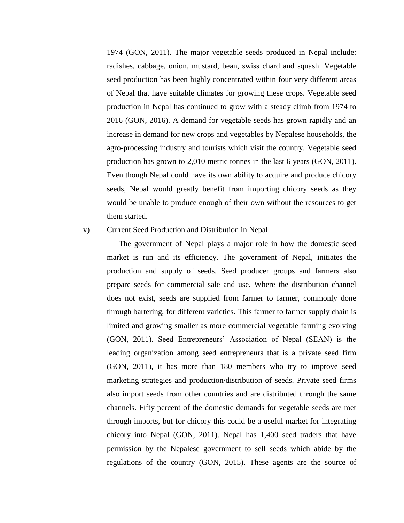1974 (GON, 2011). The major vegetable seeds produced in Nepal include: radishes, cabbage, onion, mustard, bean, swiss chard and squash. Vegetable seed production has been highly concentrated within four very different areas of Nepal that have suitable climates for growing these crops. Vegetable seed production in Nepal has continued to grow with a steady climb from 1974 to 2016 (GON, 2016). A demand for vegetable seeds has grown rapidly and an increase in demand for new crops and vegetables by Nepalese households, the agro-processing industry and tourists which visit the country. Vegetable seed production has grown to 2,010 metric tonnes in the last 6 years (GON, 2011). Even though Nepal could have its own ability to acquire and produce chicory seeds, Nepal would greatly benefit from importing chicory seeds as they would be unable to produce enough of their own without the resources to get them started.

#### v) Current Seed Production and Distribution in Nepal

The government of Nepal plays a major role in how the domestic seed market is run and its efficiency. The government of Nepal, initiates the production and supply of seeds. Seed producer groups and farmers also prepare seeds for commercial sale and use. Where the distribution channel does not exist, seeds are supplied from farmer to farmer, commonly done through bartering, for different varieties. This farmer to farmer supply chain is limited and growing smaller as more commercial vegetable farming evolving (GON, 2011). Seed Entrepreneurs' Association of Nepal (SEAN) is the leading organization among seed entrepreneurs that is a private seed firm (GON, 2011), it has more than 180 members who try to improve seed marketing strategies and production/distribution of seeds. Private seed firms also import seeds from other countries and are distributed through the same channels. Fifty percent of the domestic demands for vegetable seeds are met through imports, but for chicory this could be a useful market for integrating chicory into Nepal (GON, 2011). Nepal has 1,400 seed traders that have permission by the Nepalese government to sell seeds which abide by the regulations of the country (GON, 2015). These agents are the source of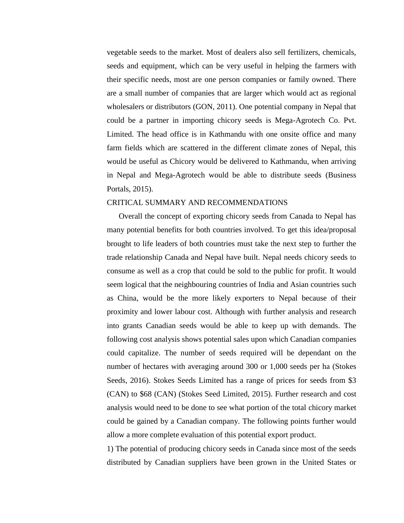vegetable seeds to the market. Most of dealers also sell fertilizers, chemicals, seeds and equipment, which can be very useful in helping the farmers with their specific needs, most are one person companies or family owned. There are a small number of companies that are larger which would act as regional wholesalers or distributors (GON, 2011). One potential company in Nepal that could be a partner in importing chicory seeds is Mega-Agrotech Co. Pvt. Limited. The head office is in Kathmandu with one onsite office and many farm fields which are scattered in the different climate zones of Nepal, this would be useful as Chicory would be delivered to Kathmandu, when arriving in Nepal and Mega-Agrotech would be able to distribute seeds (Business Portals, 2015).

#### CRITICAL SUMMARY AND RECOMMENDATIONS

Overall the concept of exporting chicory seeds from Canada to Nepal has many potential benefits for both countries involved. To get this idea/proposal brought to life leaders of both countries must take the next step to further the trade relationship Canada and Nepal have built. Nepal needs chicory seeds to consume as well as a crop that could be sold to the public for profit. It would seem logical that the neighbouring countries of India and Asian countries such as China, would be the more likely exporters to Nepal because of their proximity and lower labour cost. Although with further analysis and research into grants Canadian seeds would be able to keep up with demands. The following cost analysis shows potential sales upon which Canadian companies could capitalize. The number of seeds required will be dependant on the number of hectares with averaging around 300 or 1,000 seeds per ha (Stokes Seeds, 2016). Stokes Seeds Limited has a range of prices for seeds from \$3 (CAN) to \$68 (CAN) (Stokes Seed Limited, 2015). Further research and cost analysis would need to be done to see what portion of the total chicory market could be gained by a Canadian company. The following points further would allow a more complete evaluation of this potential export product.

1) The potential of producing chicory seeds in Canada since most of the seeds distributed by Canadian suppliers have been grown in the United States or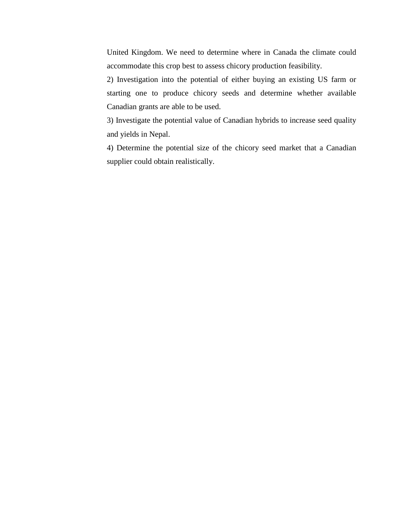United Kingdom. We need to determine where in Canada the climate could accommodate this crop best to assess chicory production feasibility.

2) Investigation into the potential of either buying an existing US farm or starting one to produce chicory seeds and determine whether available Canadian grants are able to be used.

3) Investigate the potential value of Canadian hybrids to increase seed quality and yields in Nepal.

4) Determine the potential size of the chicory seed market that a Canadian supplier could obtain realistically.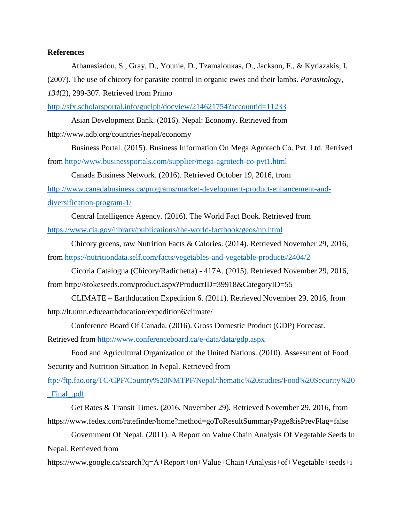## **References**

Athanasiadou, S., Gray, D., Younie, D., Tzamaloukas, O., Jackson, F., & Kyriazakis, I. (2007). The use of chicory for parasite control in organic ewes and their lambs. *Parasitology,* 

*134*(2), 299-307. Retrieved from Primo

<http://sfx.scholarsportal.info/guelph/docview/214621754?accountid=11233>

Asian Development Bank. (2016). Nepal: Economy. Retrieved from http://www.adb.org/countries/nepal/economy

Business Portal. (2015). Business Information On Mega Agrotech Co. Pvt. Ltd. Retrived from <http://www.businessportals.com/supplier/mega-agrotech-co-pvt1.html>

Canada Business Network. (2016). Retrieved October 19, 2016, from

[http://www.canadabusiness.ca/programs/market-development-product-enhancement-and](http://www.canadabusiness.ca/programs/market-development-product-enhancement-and-diversification-program-1/)[diversification-program-1/](http://www.canadabusiness.ca/programs/market-development-product-enhancement-and-diversification-program-1/)

Central Intelligence Agency. (2016). The World Fact Book. Retrieved from <https://www.cia.gov/library/publications/the-world-factbook/geos/np.html>

Chicory greens, raw Nutrition Facts & Calories. (2014). Retrieved November 29, 2016, from<https://nutritiondata.self.com/facts/vegetables-and-vegetable-products/2404/2>

Cicoria Catalogna (Chicory/Radichetta) - 417A. (2015). Retrieved November 29, 2016, from http://stokeseeds.com/product.aspx?ProductID=39918&CategoryID=55

CLIMATE – Earthducation Expedition 6. (2011). Retrieved November 29, 2016, from http://lt.umn.edu/earthducation/expedition6/climate/

Conference Board Of Canada. (2016). Gross Domestic Product (GDP) Forecast. Retrieved from<http://www.conferenceboard.ca/e-data/data/gdp.aspx>

Food and Agricultural Organization of the United Nations. (2010). Assessment of Food Security and Nutrition Situation In Nepal. Retrieved from

[ftp://ftp.fao.org/TC/CPF/Country%20NMTPF/Nepal/thematic%20studies/Food%20Security%20](ftp://ftp.fao.org/TC/CPF/Country NMTPF/Nepal/thematic studies/Food Security _Final_.pdf) [\\_Final\\_.pdf](ftp://ftp.fao.org/TC/CPF/Country NMTPF/Nepal/thematic studies/Food Security _Final_.pdf)

Get Rates & Transit Times. (2016, November 29). Retrieved November 29, 2016, from https://www.fedex.com/ratefinder/home?method=goToResultSummaryPage&isPrevFlag=false

Government Of Nepal. (2011). A Report on Value Chain Analysis Of Vegetable Seeds In Nepal. Retrieved from

https://www.google.ca/search?q=A+Report+on+Value+Chain+Analysis+of+Vegetable+seeds+i